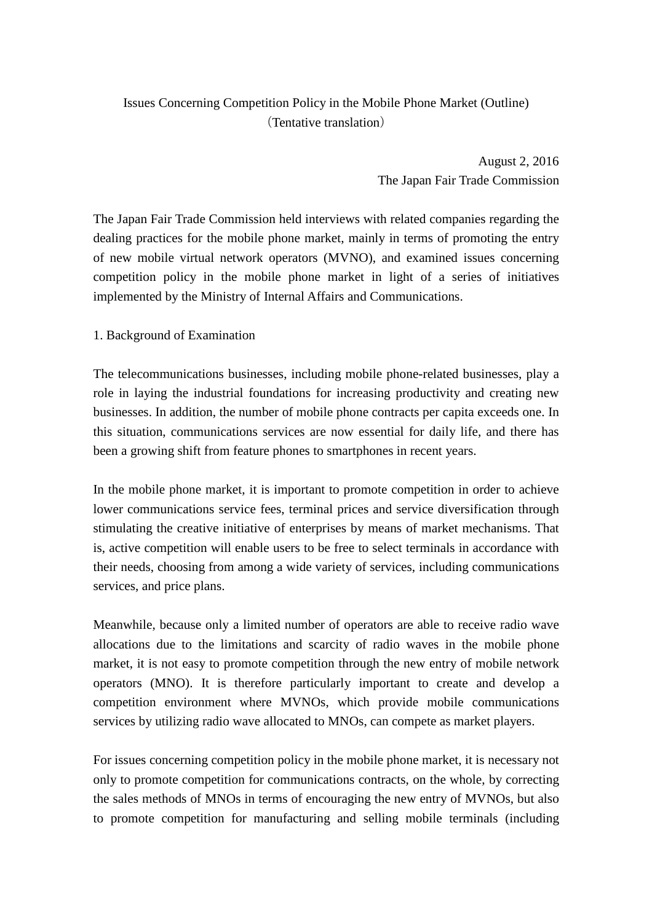## Issues Concerning Competition Policy in the Mobile Phone Market (Outline) (Tentative translation)

August 2, 2016 The Japan Fair Trade Commission

The Japan Fair Trade Commission held interviews with related companies regarding the dealing practices for the mobile phone market, mainly in terms of promoting the entry of new mobile virtual network operators (MVNO), and examined issues concerning competition policy in the mobile phone market in light of a series of initiatives implemented by the Ministry of Internal Affairs and Communications.

## 1. Background of Examination

The telecommunications businesses, including mobile phone-related businesses, play a role in laying the industrial foundations for increasing productivity and creating new businesses. In addition, the number of mobile phone contracts per capita exceeds one. In this situation, communications services are now essential for daily life, and there has been a growing shift from feature phones to smartphones in recent years.

In the mobile phone market, it is important to promote competition in order to achieve lower communications service fees, terminal prices and service diversification through stimulating the creative initiative of enterprises by means of market mechanisms. That is, active competition will enable users to be free to select terminals in accordance with their needs, choosing from among a wide variety of services, including communications services, and price plans.

Meanwhile, because only a limited number of operators are able to receive radio wave allocations due to the limitations and scarcity of radio waves in the mobile phone market, it is not easy to promote competition through the new entry of mobile network operators (MNO). It is therefore particularly important to create and develop a competition environment where MVNOs, which provide mobile communications services by utilizing radio wave allocated to MNOs, can compete as market players.

For issues concerning competition policy in the mobile phone market, it is necessary not only to promote competition for communications contracts, on the whole, by correcting the sales methods of MNOs in terms of encouraging the new entry of MVNOs, but also to promote competition for manufacturing and selling mobile terminals (including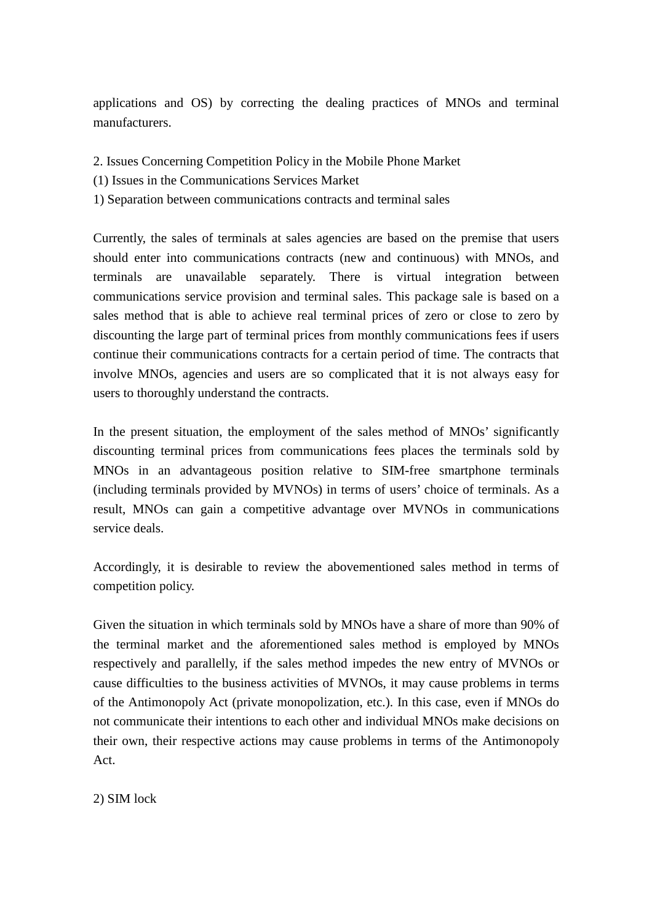applications and OS) by correcting the dealing practices of MNOs and terminal manufacturers.

- 2. Issues Concerning Competition Policy in the Mobile Phone Market
- (1) Issues in the Communications Services Market
- 1) Separation between communications contracts and terminal sales

Currently, the sales of terminals at sales agencies are based on the premise that users should enter into communications contracts (new and continuous) with MNOs, and terminals are unavailable separately. There is virtual integration between communications service provision and terminal sales. This package sale is based on a sales method that is able to achieve real terminal prices of zero or close to zero by discounting the large part of terminal prices from monthly communications fees if users continue their communications contracts for a certain period of time. The contracts that involve MNOs, agencies and users are so complicated that it is not always easy for users to thoroughly understand the contracts.

In the present situation, the employment of the sales method of MNOs' significantly discounting terminal prices from communications fees places the terminals sold by MNOs in an advantageous position relative to SIM-free smartphone terminals (including terminals provided by MVNOs) in terms of users' choice of terminals. As a result, MNOs can gain a competitive advantage over MVNOs in communications service deals.

Accordingly, it is desirable to review the abovementioned sales method in terms of competition policy.

Given the situation in which terminals sold by MNOs have a share of more than 90% of the terminal market and the aforementioned sales method is employed by MNOs respectively and parallelly, if the sales method impedes the new entry of MVNOs or cause difficulties to the business activities of MVNOs, it may cause problems in terms of the Antimonopoly Act (private monopolization, etc.). In this case, even if MNOs do not communicate their intentions to each other and individual MNOs make decisions on their own, their respective actions may cause problems in terms of the Antimonopoly Act.

2) SIM lock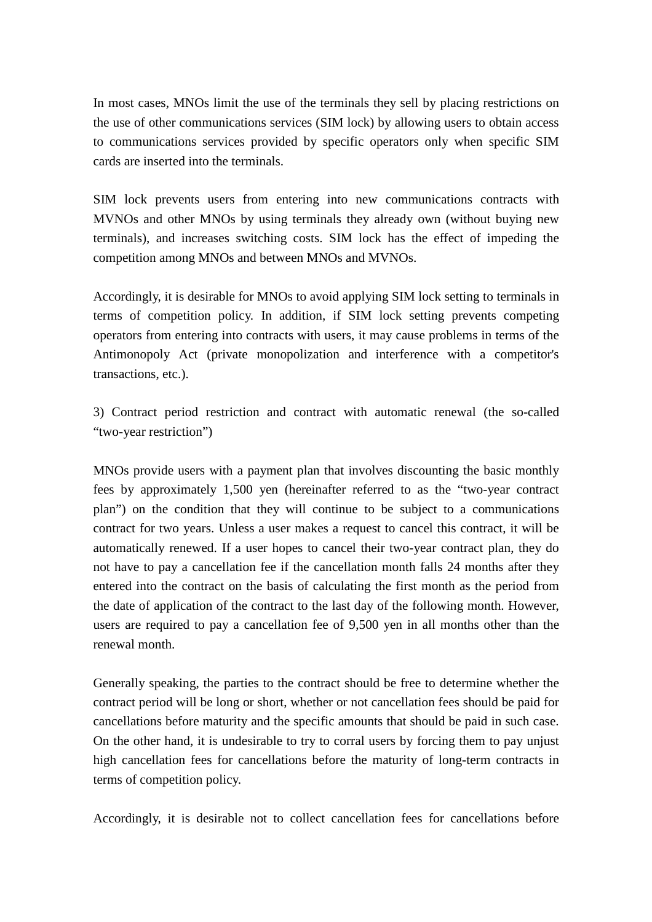In most cases, MNOs limit the use of the terminals they sell by placing restrictions on the use of other communications services (SIM lock) by allowing users to obtain access to communications services provided by specific operators only when specific SIM cards are inserted into the terminals.

SIM lock prevents users from entering into new communications contracts with MVNOs and other MNOs by using terminals they already own (without buying new terminals), and increases switching costs. SIM lock has the effect of impeding the competition among MNOs and between MNOs and MVNOs.

Accordingly, it is desirable for MNOs to avoid applying SIM lock setting to terminals in terms of competition policy. In addition, if SIM lock setting prevents competing operators from entering into contracts with users, it may cause problems in terms of the Antimonopoly Act (private monopolization and interference with a competitor's transactions, etc.).

3) Contract period restriction and contract with automatic renewal (the so-called "two-year restriction")

MNOs provide users with a payment plan that involves discounting the basic monthly fees by approximately 1,500 yen (hereinafter referred to as the "two-year contract plan") on the condition that they will continue to be subject to a communications contract for two years. Unless a user makes a request to cancel this contract, it will be automatically renewed. If a user hopes to cancel their two-year contract plan, they do not have to pay a cancellation fee if the cancellation month falls 24 months after they entered into the contract on the basis of calculating the first month as the period from the date of application of the contract to the last day of the following month. However, users are required to pay a cancellation fee of 9,500 yen in all months other than the renewal month.

Generally speaking, the parties to the contract should be free to determine whether the contract period will be long or short, whether or not cancellation fees should be paid for cancellations before maturity and the specific amounts that should be paid in such case. On the other hand, it is undesirable to try to corral users by forcing them to pay unjust high cancellation fees for cancellations before the maturity of long-term contracts in terms of competition policy.

Accordingly, it is desirable not to collect cancellation fees for cancellations before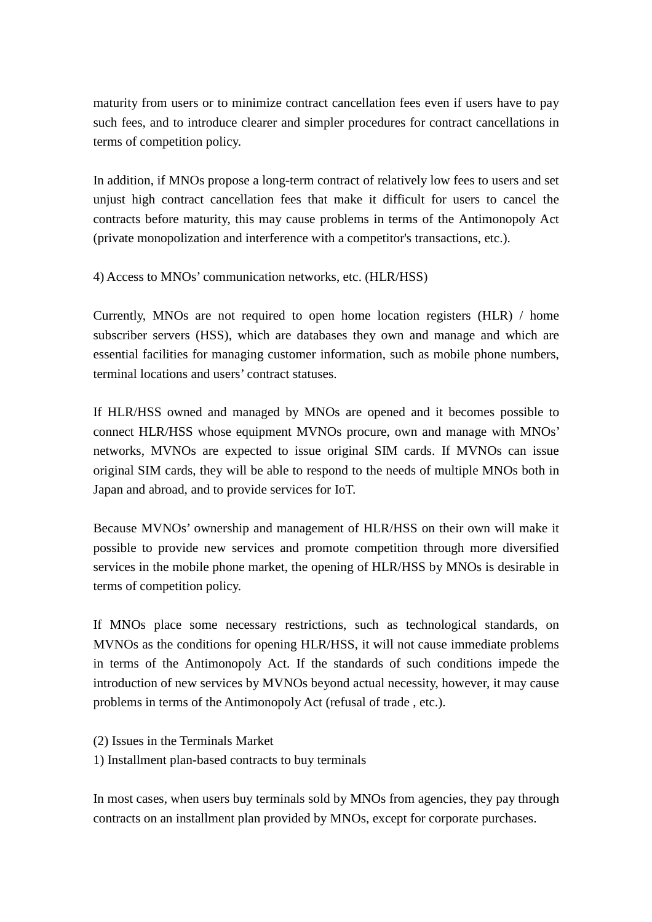maturity from users or to minimize contract cancellation fees even if users have to pay such fees, and to introduce clearer and simpler procedures for contract cancellations in terms of competition policy.

In addition, if MNOs propose a long-term contract of relatively low fees to users and set unjust high contract cancellation fees that make it difficult for users to cancel the contracts before maturity, this may cause problems in terms of the Antimonopoly Act (private monopolization and interference with a competitor's transactions, etc.).

4) Access to MNOs' communication networks, etc. (HLR/HSS)

Currently, MNOs are not required to open home location registers (HLR) / home subscriber servers (HSS), which are databases they own and manage and which are essential facilities for managing customer information, such as mobile phone numbers, terminal locations and users' contract statuses.

If HLR/HSS owned and managed by MNOs are opened and it becomes possible to connect HLR/HSS whose equipment MVNOs procure, own and manage with MNOs' networks, MVNOs are expected to issue original SIM cards. If MVNOs can issue original SIM cards, they will be able to respond to the needs of multiple MNOs both in Japan and abroad, and to provide services for IoT.

Because MVNOs' ownership and management of HLR/HSS on their own will make it possible to provide new services and promote competition through more diversified services in the mobile phone market, the opening of HLR/HSS by MNOs is desirable in terms of competition policy.

If MNOs place some necessary restrictions, such as technological standards, on MVNOs as the conditions for opening HLR/HSS, it will not cause immediate problems in terms of the Antimonopoly Act. If the standards of such conditions impede the introduction of new services by MVNOs beyond actual necessity, however, it may cause problems in terms of the Antimonopoly Act (refusal of trade , etc.).

- (2) Issues in the Terminals Market
- 1) Installment plan-based contracts to buy terminals

In most cases, when users buy terminals sold by MNOs from agencies, they pay through contracts on an installment plan provided by MNOs, except for corporate purchases.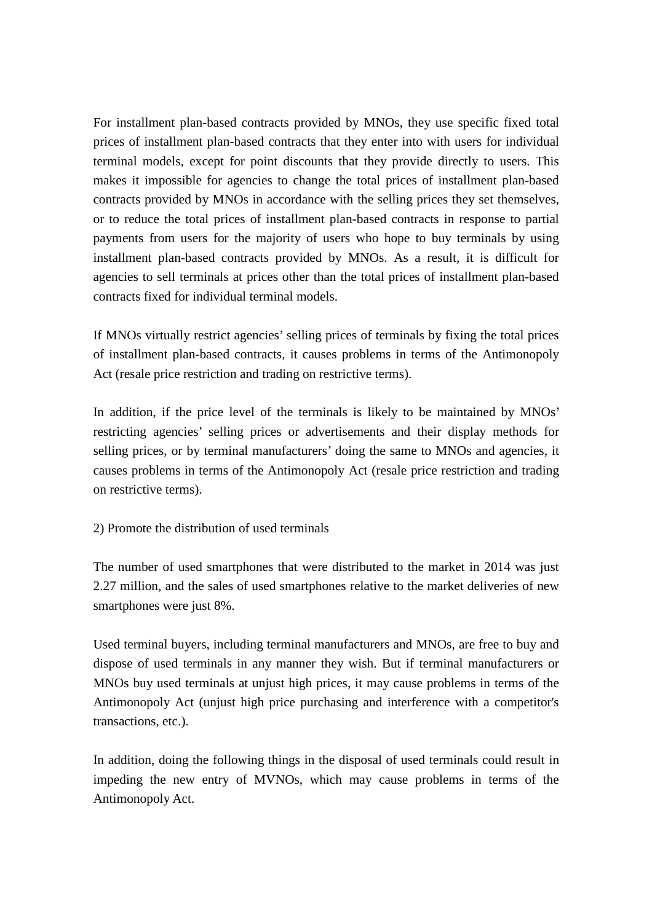For installment plan-based contracts provided by MNOs, they use specific fixed total prices of installment plan-based contracts that they enter into with users for individual terminal models, except for point discounts that they provide directly to users. This makes it impossible for agencies to change the total prices of installment plan-based contracts provided by MNOs in accordance with the selling prices they set themselves, or to reduce the total prices of installment plan-based contracts in response to partial payments from users for the majority of users who hope to buy terminals by using installment plan-based contracts provided by MNOs. As a result, it is difficult for agencies to sell terminals at prices other than the total prices of installment plan-based contracts fixed for individual terminal models.

If MNOs virtually restrict agencies' selling prices of terminals by fixing the total prices of installment plan-based contracts, it causes problems in terms of the Antimonopoly Act (resale price restriction and trading on restrictive terms).

In addition, if the price level of the terminals is likely to be maintained by MNOs' restricting agencies' selling prices or advertisements and their display methods for selling prices, or by terminal manufacturers' doing the same to MNOs and agencies, it causes problems in terms of the Antimonopoly Act (resale price restriction and trading on restrictive terms).

## 2) Promote the distribution of used terminals

The number of used smartphones that were distributed to the market in 2014 was just 2.27 million, and the sales of used smartphones relative to the market deliveries of new smartphones were just 8%.

Used terminal buyers, including terminal manufacturers and MNOs, are free to buy and dispose of used terminals in any manner they wish. But if terminal manufacturers or MNOs buy used terminals at unjust high prices, it may cause problems in terms of the Antimonopoly Act (unjust high price purchasing and interference with a competitor's transactions, etc.).

In addition, doing the following things in the disposal of used terminals could result in impeding the new entry of MVNOs, which may cause problems in terms of the Antimonopoly Act.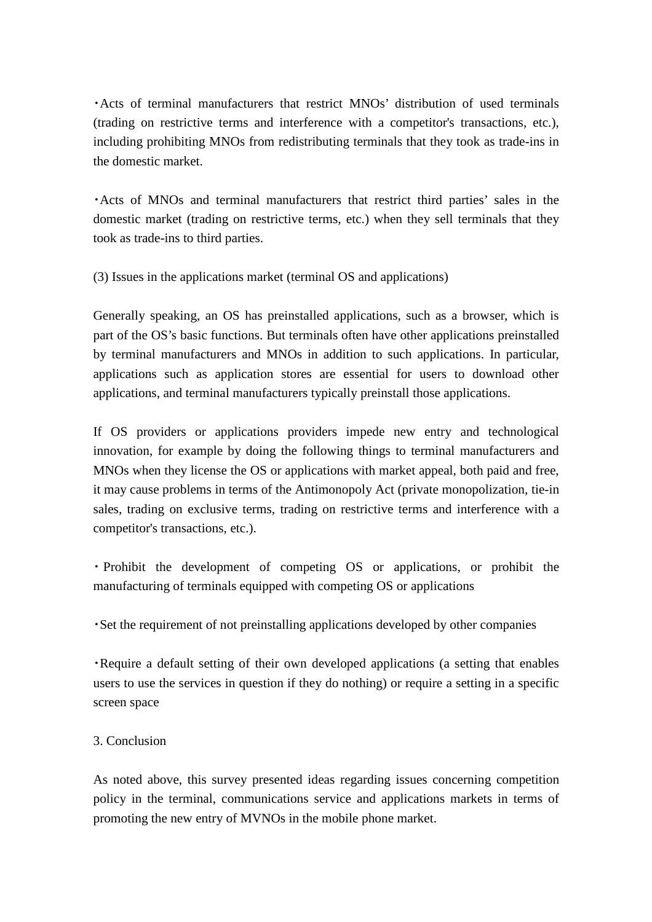・Acts of terminal manufacturers that restrict MNOs' distribution of used terminals (trading on restrictive terms and interference with a competitor's transactions, etc.), including prohibiting MNOs from redistributing terminals that they took as trade-ins in the domestic market.

・Acts of MNOs and terminal manufacturers that restrict third parties' sales in the domestic market (trading on restrictive terms, etc.) when they sell terminals that they took as trade-ins to third parties.

(3) Issues in the applications market (terminal OS and applications)

Generally speaking, an OS has preinstalled applications, such as a browser, which is part of the OS's basic functions. But terminals often have other applications preinstalled by terminal manufacturers and MNOs in addition to such applications. In particular, applications such as application stores are essential for users to download other applications, and terminal manufacturers typically preinstall those applications.

If OS providers or applications providers impede new entry and technological innovation, for example by doing the following things to terminal manufacturers and MNOs when they license the OS or applications with market appeal, both paid and free, it may cause problems in terms of the Antimonopoly Act (private monopolization, tie-in sales, trading on exclusive terms, trading on restrictive terms and interference with a competitor's transactions, etc.).

・ Prohibit the development of competing OS or applications, or prohibit the manufacturing of terminals equipped with competing OS or applications

・Set the requirement of not preinstalling applications developed by other companies

・Require a default setting of their own developed applications (a setting that enables users to use the services in question if they do nothing) or require a setting in a specific screen space

## 3. Conclusion

As noted above, this survey presented ideas regarding issues concerning competition policy in the terminal, communications service and applications markets in terms of promoting the new entry of MVNOs in the mobile phone market.